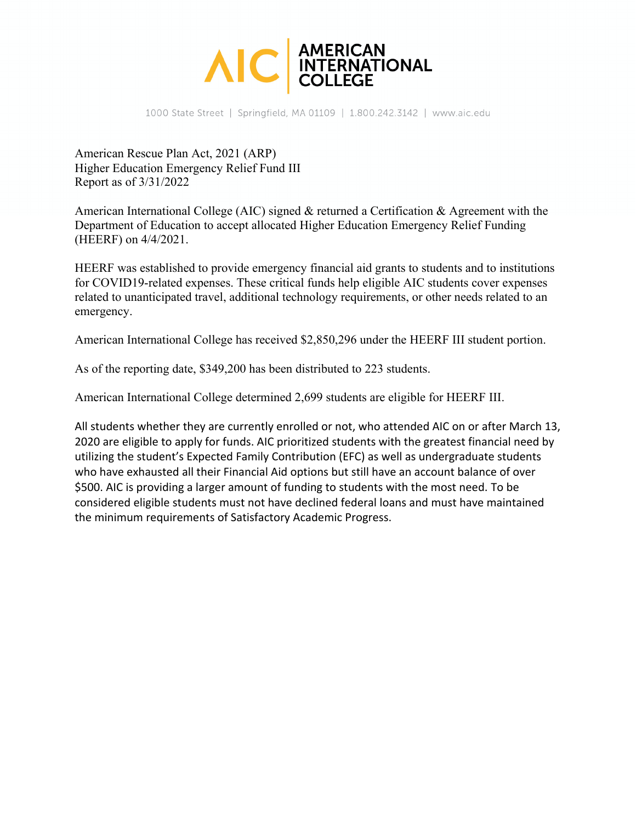

1000 State Street | Springfield, MA 01109 | 1.800.242.3142 | www.aic.edu

American Rescue Plan Act, 2021 (ARP) Higher Education Emergency Relief Fund III Report as of 3/31/2022

American International College (AIC) signed & returned a Certification & Agreement with the Department of Education to accept allocated Higher Education Emergency Relief Funding (HEERF) on 4/4/2021.

HEERF was established to provide emergency financial aid grants to students and to institutions for COVID19-related expenses. These critical funds help eligible AIC students cover expenses related to unanticipated travel, additional technology requirements, or other needs related to an emergency.

American International College has received \$2,850,296 under the HEERF III student portion.

As of the reporting date, \$349,200 has been distributed to 223 students.

American International College determined 2,699 students are eligible for HEERF III.

All students whether they are currently enrolled or not, who attended AIC on or after March 13, 2020 are eligible to apply for funds. AIC prioritized students with the greatest financial need by utilizing the student's Expected Family Contribution (EFC) as well as undergraduate students who have exhausted all their Financial Aid options but still have an account balance of over \$500. AIC is providing a larger amount of funding to students with the most need. To be considered eligible students must not have declined federal loans and must have maintained the minimum requirements of Satisfactory Academic Progress.